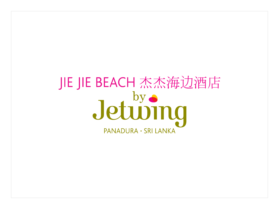# JIE JIE BEACH 杰杰海边酒店 Jetuving PANADURA · SRI LANKA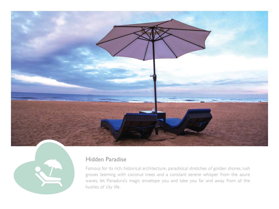



#### Hidden Paradise

Famous for its rich, historical architecture, paradisical stretches of golden shores, lush groves teeming with coconut trees and a constant serene whisper from the azure waves, let Panadura's magic envelope you and take you far and away from all the hustles of city life.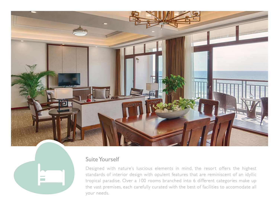



#### Suite Yourself

Designed with nature's luscious elements in mind, the resort offers the highest standards of interior design with opulent features that are reminiscent of an idyllic tropical paradise. Over a 100 rooms branched into 6 different categories make up the vast premises, each carefully curated with the best of facilities to accomodate all your needs.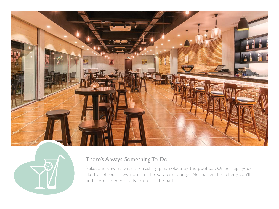



### There's Always Something To Do

Relax and unwind with a refreshing pina colada by the pool bar. Or perhaps you'd like to belt out a few notes at the Karaoke Lounge? No matter the activity, you'll find there's plenty of adventures to be had.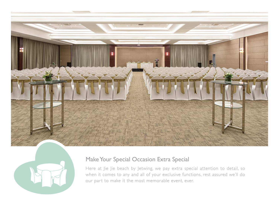



## Make Your Special Occasion Extra Special

Here at Jie Jie beach by Jetwing, we pay extra special attention to detail, so when it comes to any and all of your exclusive functions, rest assured we'll do our part to make it the most memorable event, ever.